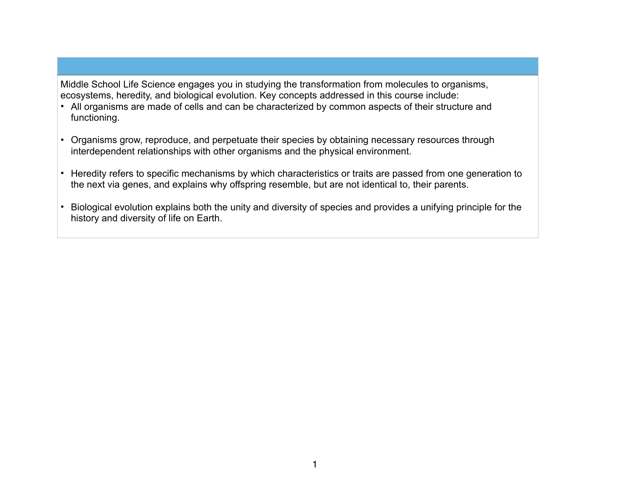Middle School Life Science engages you in studying the transformation from molecules to organisms, ecosystems, heredity, and biological evolution. Key concepts addressed in this course include:

- All organisms are made of cells and can be characterized by common aspects of their structure and functioning.
- Organisms grow, reproduce, and perpetuate their species by obtaining necessary resources through interdependent relationships with other organisms and the physical environment.
- Heredity refers to specific mechanisms by which characteristics or traits are passed from one generation to the next via genes, and explains why offspring resemble, but are not identical to, their parents.
- Biological evolution explains both the unity and diversity of species and provides a unifying principle for the history and diversity of life on Earth.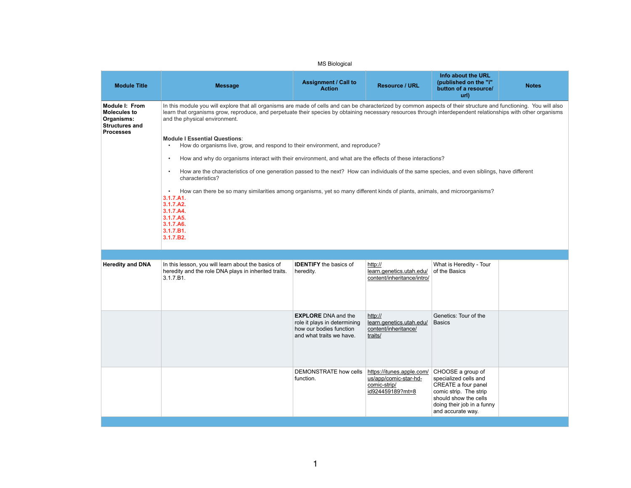| Info about the URL<br>(published on the "i"<br>button of a resource/<br>url)                                        | <b>Notes</b> |
|---------------------------------------------------------------------------------------------------------------------|--------------|
| aspects of their structure and functioning. You will also<br>ough interdependent relationships with other organisms |              |

| <b>MS Biological</b>                                                                                    |                                                                                                                                                                                                                                                                                                                                                                                                                                                                                                                                                                                                                                                                                                                                                                                                                                                                                                                                                                                                        |                                                                                                                   |                                                                                        |                                                                                                                                                                         |              |  |  |
|---------------------------------------------------------------------------------------------------------|--------------------------------------------------------------------------------------------------------------------------------------------------------------------------------------------------------------------------------------------------------------------------------------------------------------------------------------------------------------------------------------------------------------------------------------------------------------------------------------------------------------------------------------------------------------------------------------------------------------------------------------------------------------------------------------------------------------------------------------------------------------------------------------------------------------------------------------------------------------------------------------------------------------------------------------------------------------------------------------------------------|-------------------------------------------------------------------------------------------------------------------|----------------------------------------------------------------------------------------|-------------------------------------------------------------------------------------------------------------------------------------------------------------------------|--------------|--|--|
| <b>Module Title</b>                                                                                     | <b>Message</b>                                                                                                                                                                                                                                                                                                                                                                                                                                                                                                                                                                                                                                                                                                                                                                                                                                                                                                                                                                                         | <b>Assignment / Call to</b><br><b>Action</b>                                                                      | <b>Resource / URL</b>                                                                  | Info about the URL<br>(published on the "i"<br>button of a resource/<br>url)                                                                                            | <b>Notes</b> |  |  |
| <b>Module I: From</b><br><b>Molecules to</b><br>Organisms:<br><b>Structures and</b><br><b>Processes</b> | In this module you will explore that all organisms are made of cells and can be characterized by common aspects of their structure and functioning. You will also<br>learn that organisms grow, reproduce, and perpetuate their species by obtaining necessary resources through interdependent relationships with other organisms<br>and the physical environment.<br><b>Module I Essential Questions:</b><br>How do organisms live, grow, and respond to their environment, and reproduce?<br>How and why do organisms interact with their environment, and what are the effects of these interactions?<br>How are the characteristics of one generation passed to the next? How can individuals of the same species, and even siblings, have different<br>characteristics?<br>How can there be so many similarities among organisms, yet so many different kinds of plants, animals, and microorganisms?<br>3.1.7.A1.<br>3.1.7.A2.<br>3.1.7.A4.<br>3.1.7.A5.<br>3.1.7.A6.<br>3.1.7.B1.<br>3.1.7.B2. |                                                                                                                   |                                                                                        |                                                                                                                                                                         |              |  |  |
|                                                                                                         |                                                                                                                                                                                                                                                                                                                                                                                                                                                                                                                                                                                                                                                                                                                                                                                                                                                                                                                                                                                                        |                                                                                                                   |                                                                                        |                                                                                                                                                                         |              |  |  |
| <b>Heredity and DNA</b>                                                                                 | In this lesson, you will learn about the basics of<br>heredity and the role DNA plays in inherited traits.<br>3.1.7.B1.                                                                                                                                                                                                                                                                                                                                                                                                                                                                                                                                                                                                                                                                                                                                                                                                                                                                                | <b>IDENTIFY</b> the basics of<br>heredity.                                                                        | http://<br>learn.genetics.utah.edu/<br>content/inheritance/intro/                      | What is Heredity - Tour<br>of the Basics                                                                                                                                |              |  |  |
|                                                                                                         |                                                                                                                                                                                                                                                                                                                                                                                                                                                                                                                                                                                                                                                                                                                                                                                                                                                                                                                                                                                                        | <b>EXPLORE</b> DNA and the<br>role it plays in determining<br>how our bodies function<br>and what traits we have. | http://<br>learn.genetics.utah.edu/<br>content/inheritance/<br>traits/                 | Genetics: Tour of the<br><b>Basics</b>                                                                                                                                  |              |  |  |
|                                                                                                         |                                                                                                                                                                                                                                                                                                                                                                                                                                                                                                                                                                                                                                                                                                                                                                                                                                                                                                                                                                                                        | <b>DEMONSTRATE how cells</b><br>function.                                                                         | https://itunes.apple.com/<br>us/app/comic-star-hd-<br>comic-strip/<br>id924459189?mt=8 | CHOOSE a group of<br>specialized cells and<br>CREATE a four panel<br>comic strip. The strip<br>should show the cells<br>doing their job in a funny<br>and accurate way. |              |  |  |

| <u>u/</u><br>ro/ | What is Heredity - Tour<br>of the Basics                                                                                                                                       |  |
|------------------|--------------------------------------------------------------------------------------------------------------------------------------------------------------------------------|--|
| u/               | Genetics: Tour of the<br><b>Basics</b>                                                                                                                                         |  |
| <u>m/</u>        | CHOOSE a group of<br>specialized cells and<br><b>CREATE a four panel</b><br>comic strip. The strip<br>should show the cells<br>doing their job in a funny<br>and accurate way. |  |
|                  |                                                                                                                                                                                |  |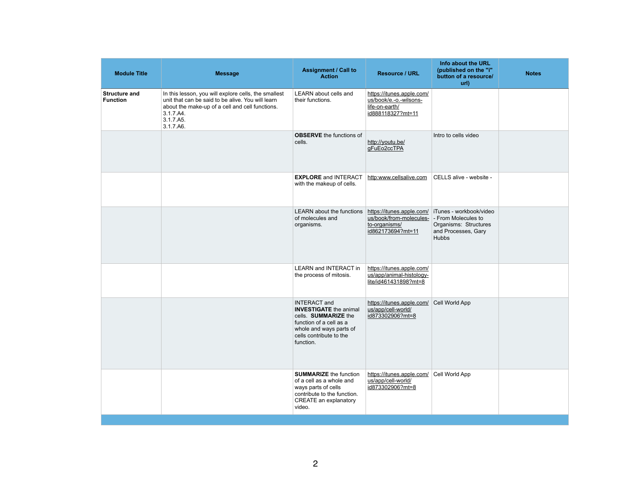| <b>Module Title</b>                     | <b>Message</b>                                                                                                                                                                                      | <b>Assignment / Call to</b><br><b>Action</b>                                                                                                                               | <b>Resource / URL</b>                                                                                          | Info about the URL<br>(published on the "i"<br>button of a resource/<br>url)            | <b>Notes</b> |
|-----------------------------------------|-----------------------------------------------------------------------------------------------------------------------------------------------------------------------------------------------------|----------------------------------------------------------------------------------------------------------------------------------------------------------------------------|----------------------------------------------------------------------------------------------------------------|-----------------------------------------------------------------------------------------|--------------|
| <b>Structure and</b><br><b>Function</b> | In this lesson, you will explore cells, the smallest<br>unit that can be said to be alive. You will learn<br>about the make-up of a cell and cell functions.<br>3.1.7.A4.<br>3.1.7.A5.<br>3.1.7.A6. | <b>LEARN</b> about cells and<br>their functions.                                                                                                                           | https://itunes.apple.com/<br>us/book/e.-o.-wilsons-<br>life-on-earth/<br>id888118327?mt=11                     |                                                                                         |              |
|                                         |                                                                                                                                                                                                     | <b>OBSERVE</b> the functions of<br>cells.                                                                                                                                  | http://youtu.be/<br>gFuEo2ccTPA                                                                                | Intro to cells video                                                                    |              |
|                                         |                                                                                                                                                                                                     | <b>EXPLORE</b> and INTERACT<br>with the makeup of cells.                                                                                                                   | http:www.cellsalive.com                                                                                        | CELLS alive - website -                                                                 |              |
|                                         |                                                                                                                                                                                                     | <b>LEARN</b> about the functions<br>of molecules and<br>organisms.                                                                                                         | https://itunes.apple.com/<br>us/book/from-molecules- - From Molecules to<br>to-organisms/<br>id862173694?mt=11 | iTunes - workbook/video<br>Organisms: Structures<br>and Processes, Gary<br><b>Hubbs</b> |              |
|                                         |                                                                                                                                                                                                     | LEARN and INTERACT in   https://itunes.apple.com/<br>the process of mitosis.                                                                                               | us/app/animal-histology-<br>lite/id461431898?mt=8                                                              |                                                                                         |              |
|                                         |                                                                                                                                                                                                     | <b>INTERACT</b> and<br><b>INVESTIGATE</b> the animal<br>cells. SUMMARIZE the<br>function of a cell as a<br>whole and ways parts of<br>cells contribute to the<br>function. | https://itunes.apple.com/<br>us/app/cell-world/<br>id873302906?mt=8                                            | Cell World App                                                                          |              |
|                                         |                                                                                                                                                                                                     | <b>SUMMARIZE</b> the function<br>of a cell as a whole and<br>ways parts of cells<br>contribute to the function.<br><b>CREATE an explanatory</b><br>video.                  | https://itunes.apple.com/<br>us/app/cell-world/<br>id873302906?mt=8                                            | Cell World App                                                                          |              |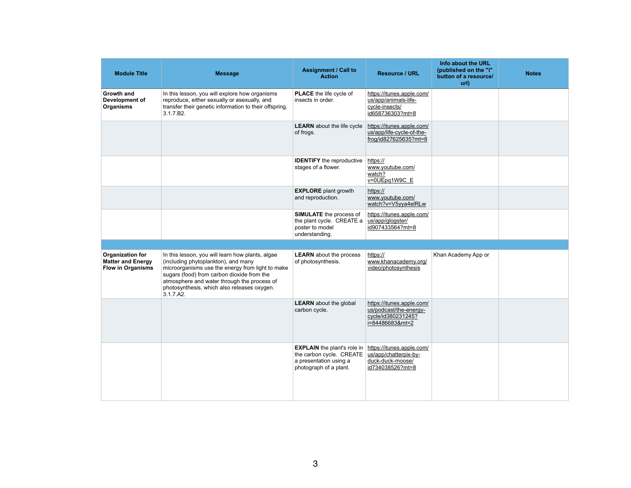| <b>Module Title</b>                                                             | <b>Message</b>                                                                                                                                                                                                                                                                                       | <b>Assignment / Call to</b><br><b>Action</b>                                                                       | <b>Resource / URL</b>                                                                        |
|---------------------------------------------------------------------------------|------------------------------------------------------------------------------------------------------------------------------------------------------------------------------------------------------------------------------------------------------------------------------------------------------|--------------------------------------------------------------------------------------------------------------------|----------------------------------------------------------------------------------------------|
| <b>Growth and</b><br>Development of<br><b>Organisms</b>                         | In this lesson, you will explore how organisms<br>reproduce, either sexually or asexually, and<br>transfer their genetic information to their offspring.<br>3.1.7.B2.                                                                                                                                | <b>PLACE</b> the life cycle of<br>insects in order.                                                                | https://itunes.apple.com/<br>us/app/animals-life-<br>cycle-insects/<br>id658736303?mt=8      |
|                                                                                 |                                                                                                                                                                                                                                                                                                      | <b>LEARN</b> about the life cycle<br>of frogs.                                                                     | https://itunes.apple.com/<br>us/app/life-cycle-of-the-<br>frog/id827625635?mt=8              |
|                                                                                 |                                                                                                                                                                                                                                                                                                      | <b>IDENTIFY</b> the reproductive<br>stages of a flower.                                                            | https://<br>www.youtube.com/<br>watch?<br>$v = 0$ UEpq1W9C E                                 |
|                                                                                 |                                                                                                                                                                                                                                                                                                      | <b>EXPLORE</b> plant growth<br>and reproduction.                                                                   | https://<br>www.youtube.com/<br>watch?v=V5yya4elRLw                                          |
|                                                                                 |                                                                                                                                                                                                                                                                                                      | <b>SIMULATE</b> the process of<br>the plant cycle. CREATE a<br>poster to model<br>understanding.                   | https://itunes.apple.com/<br>us/app/glogster/<br>id907433564?mt=8                            |
|                                                                                 |                                                                                                                                                                                                                                                                                                      |                                                                                                                    |                                                                                              |
| <b>Organization for</b><br><b>Matter and Energy</b><br><b>Flow in Organisms</b> | In this lesson, you will learn how plants, algae<br>(including phytoplankton), and many<br>microorganisms use the energy from light to make<br>sugars (food) from carbon dioxide from the<br>atmosphere and water through the process of<br>photosynthesis, which also releases oxygen.<br>3.1.7.A2. | <b>LEARN</b> about the process<br>of photosynthesis.                                                               | https://<br>www.khanacademy.org/<br>video/photosynthesis                                     |
|                                                                                 |                                                                                                                                                                                                                                                                                                      | <b>LEARN</b> about the global<br>carbon cycle.                                                                     | https://itunes.apple.com/<br>us/podcast/the-energy-<br>cycle/id380231245?<br>i=84486683&mt=2 |
|                                                                                 |                                                                                                                                                                                                                                                                                                      | <b>EXPLAIN</b> the plant's role in<br>the carbon cycle. CREATE<br>a presentation using a<br>photograph of a plant. | https://itunes.apple.com/<br>us/app/chatterpix-by-<br>duck-duck-moose/<br>id734038526?mt=8   |

|                                 | Info about the URL<br>(published on the "i"<br>button of a resource/<br>url) | <b>Notes</b> |
|---------------------------------|------------------------------------------------------------------------------|--------------|
| <u>m/</u>                       |                                                                              |              |
| <u>m/</u><br><u>&gt;-</u><br>=8 |                                                                              |              |
|                                 |                                                                              |              |
| $\overline{\mathsf{M}}$         |                                                                              |              |
| <u>m/</u>                       |                                                                              |              |
|                                 |                                                                              |              |
| <u>g/</u>                       | Khan Academy App or                                                          |              |
| <u>m/</u><br>'-                 |                                                                              |              |
| <u>m/</u>                       |                                                                              |              |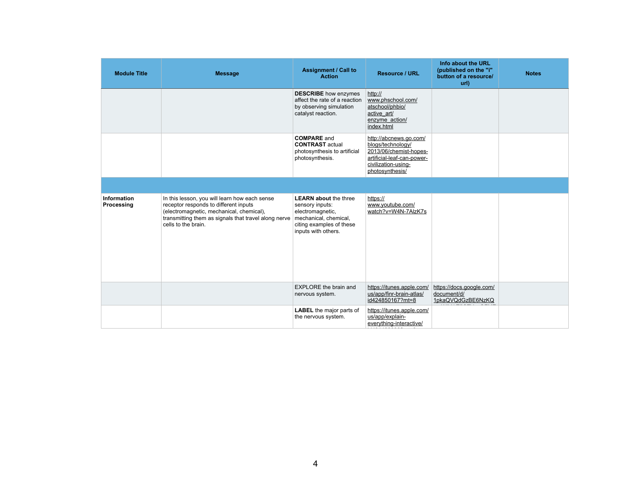| <b>Module Title</b>                     | <b>Message</b>                                                                                                                                                                                                    | <b>Assignment / Call to</b><br><b>Action</b>                                                                                                    | <b>Resource / URL</b>                                                                                                                         | Info about the URL<br>(published on the "i"<br>button of a resource/<br>url) | <b>Notes</b> |
|-----------------------------------------|-------------------------------------------------------------------------------------------------------------------------------------------------------------------------------------------------------------------|-------------------------------------------------------------------------------------------------------------------------------------------------|-----------------------------------------------------------------------------------------------------------------------------------------------|------------------------------------------------------------------------------|--------------|
|                                         |                                                                                                                                                                                                                   | <b>DESCRIBE</b> how enzymes<br>affect the rate of a reaction<br>by observing simulation<br>catalyst reaction.                                   | http://<br>www.phschool.com/<br>atschool/phbio/<br>active art/<br>enzyme action/<br>index.html                                                |                                                                              |              |
|                                         |                                                                                                                                                                                                                   | <b>COMPARE</b> and<br><b>CONTRAST</b> actual<br>photosynthesis to artificial<br>photosynthesis.                                                 | http://abcnews.go.com/<br>blogs/technology/<br>2013/06/chemist-hopes-<br>artificial-leaf-can-power-<br>civilization-using-<br>photosynthesis/ |                                                                              |              |
|                                         |                                                                                                                                                                                                                   |                                                                                                                                                 |                                                                                                                                               |                                                                              |              |
| <b>Information</b><br><b>Processing</b> | In this lesson, you will learn how each sense<br>receptor responds to different inputs<br>(electromagnetic, mechanical, chemical),<br>transmitting them as signals that travel along nerve<br>cells to the brain. | <b>LEARN about the three</b><br>sensory inputs:<br>electromagnetic,<br>mechanical, chemical,<br>citing examples of these<br>inputs with others. | https://<br>www.youtube.com/<br>watch?v=W4N-7AlzK7s                                                                                           |                                                                              |              |
|                                         |                                                                                                                                                                                                                   | <b>EXPLORE</b> the brain and<br>nervous system.                                                                                                 | https://itunes.apple.com/<br>us/app/finr-brain-atlas/<br>id424850167?mt=8                                                                     | https://docs.google.com/<br>document/d/<br>1pkaQVQdGzBE6NzKQ                 |              |
|                                         |                                                                                                                                                                                                                   | <b>LABEL</b> the major parts of<br>the nervous system.                                                                                          | https://itunes.apple.com/<br>us/app/explain-<br>everything-interactive/                                                                       |                                                                              |              |

id431493086?mt=8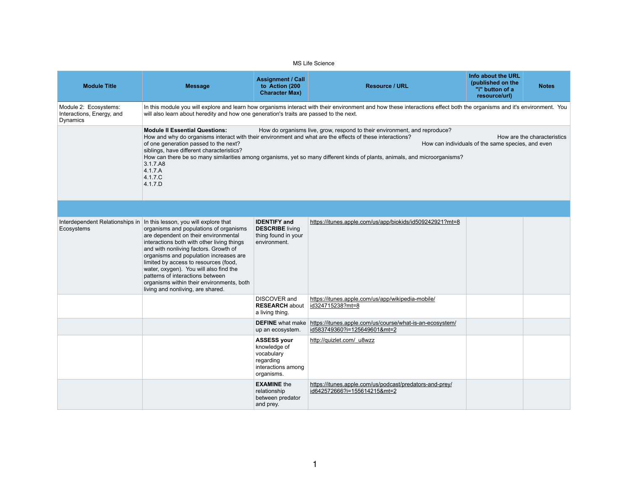MS Life Science

| <b>Module Title</b>                                                   | <b>Message</b>                                                                                                                                                                                                                                                                                                                                                                                                                                                    | <b>Assignment / Call</b><br>to Action (200<br><b>Character Max)</b>                               | <b>Resource / URL</b>                                                                                                                                                                                   | Info about the URL<br>(published on the<br>"i" button of a<br>resource/url) | <b>Notes</b>                |
|-----------------------------------------------------------------------|-------------------------------------------------------------------------------------------------------------------------------------------------------------------------------------------------------------------------------------------------------------------------------------------------------------------------------------------------------------------------------------------------------------------------------------------------------------------|---------------------------------------------------------------------------------------------------|---------------------------------------------------------------------------------------------------------------------------------------------------------------------------------------------------------|-----------------------------------------------------------------------------|-----------------------------|
| Module 2: Ecosystems:<br>Interactions, Energy, and<br><b>Dynamics</b> | will also learn about heredity and how one generation's traits are passed to the next.                                                                                                                                                                                                                                                                                                                                                                            |                                                                                                   | In this module you will explore and learn how organisms interact with their environment and how these interactions effect both the organisms and it's environment. You                                  |                                                                             |                             |
|                                                                       | <b>Module II Essential Questions:</b><br>How and why do organisms interact with their environment and what are the effects of these interactions?<br>of one generation passed to the next?<br>siblings, have different characteristics?<br>3.1.7.A8<br>4.1.7.A<br>4.1.7.C<br>4.1.7.D                                                                                                                                                                              |                                                                                                   | How do organisms live, grow, respond to their environment, and reproduce?<br>How can there be so many similarities among organisms, yet so many different kinds of plants, animals, and microorganisms? | How can individuals of the same species, and even                           | How are the characteristics |
|                                                                       |                                                                                                                                                                                                                                                                                                                                                                                                                                                                   |                                                                                                   |                                                                                                                                                                                                         |                                                                             |                             |
| Interdependent Relationships in<br>Ecosystems                         | In this lesson, you will explore that<br>organisms and populations of organisms<br>are dependent on their environmental<br>interactions both with other living things<br>and with nonliving factors. Growth of<br>organisms and population increases are<br>limited by access to resources (food,<br>water, oxygen). You will also find the<br>patterns of interactions between<br>organisms within their environments, both<br>living and nonliving, are shared. | <b>IDENTIFY</b> and<br><b>DESCRIBE</b> living<br>thing found in your<br>environment.              | https://itunes.apple.com/us/app/biokids/id509242921?mt=8                                                                                                                                                |                                                                             |                             |
|                                                                       |                                                                                                                                                                                                                                                                                                                                                                                                                                                                   | <b>DISCOVER</b> and<br><b>RESEARCH about</b><br>a living thing.                                   | https://itunes.apple.com/us/app/wikipedia-mobile/<br>id324715238?mt=8                                                                                                                                   |                                                                             |                             |
|                                                                       |                                                                                                                                                                                                                                                                                                                                                                                                                                                                   | <b>DEFINE</b> what make<br>up an ecosystem.                                                       | https://itunes.apple.com/us/course/what-is-an-ecosystem/<br>id583749360?i=125649601&mt=2                                                                                                                |                                                                             |                             |
|                                                                       |                                                                                                                                                                                                                                                                                                                                                                                                                                                                   | <b>ASSESS your</b><br>knowledge of<br>vocabulary<br>regarding<br>interactions among<br>organisms. | http://quizlet.com/ u8wzz                                                                                                                                                                               |                                                                             |                             |
|                                                                       |                                                                                                                                                                                                                                                                                                                                                                                                                                                                   | <b>EXAMINE</b> the<br>relationship<br>between predator<br>and prey.                               | https://itunes.apple.com/us/podcast/predators-and-prey/<br>id642572666?i=155614215&mt=2                                                                                                                 |                                                                             |                             |

|      | Info about the URL<br>(published on the<br>"i" button of a<br>resource/url) | <b>Notes</b>                |
|------|-----------------------------------------------------------------------------|-----------------------------|
|      | ect both the organisms and it's environment. You                            |                             |
| ice? |                                                                             | How are the characteristics |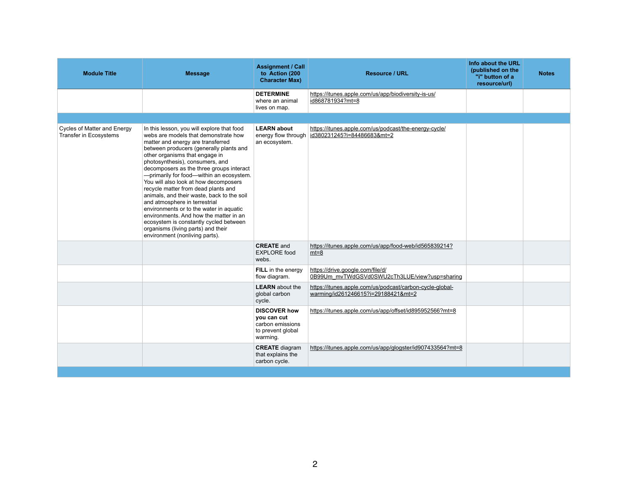| <b>Module Title</b>                                                 | <b>Message</b>                                                                                                                                                                                                                                                                                                                                                                                                                                                                                                                                                                                                                                                                                         | <b>Assignment / Call</b><br>to Action (200<br><b>Character Max)</b>                     | <b>Resource / URL</b>                                                                           | Info about the URL<br>(published on the<br>"i" button of a<br>resource/url) | <b>Notes</b> |
|---------------------------------------------------------------------|--------------------------------------------------------------------------------------------------------------------------------------------------------------------------------------------------------------------------------------------------------------------------------------------------------------------------------------------------------------------------------------------------------------------------------------------------------------------------------------------------------------------------------------------------------------------------------------------------------------------------------------------------------------------------------------------------------|-----------------------------------------------------------------------------------------|-------------------------------------------------------------------------------------------------|-----------------------------------------------------------------------------|--------------|
|                                                                     |                                                                                                                                                                                                                                                                                                                                                                                                                                                                                                                                                                                                                                                                                                        | <b>DETERMINE</b><br>where an animal<br>lives on map.                                    | https://itunes.apple.com/us/app/biodiversity-is-us/<br>id868781934?mt=8                         |                                                                             |              |
|                                                                     |                                                                                                                                                                                                                                                                                                                                                                                                                                                                                                                                                                                                                                                                                                        |                                                                                         |                                                                                                 |                                                                             |              |
| <b>Cycles of Matter and Energy</b><br><b>Transfer in Ecosystems</b> | In this lesson, you will explore that food<br>webs are models that demonstrate how<br>matter and energy are transferred<br>between producers (generally plants and<br>other organisms that engage in<br>photosynthesis), consumers, and<br>decomposers as the three groups interact<br>- primarily for food-within an ecosystem.<br>You will also look at how decomposers<br>recycle matter from dead plants and<br>animals, and their waste, back to the soil<br>and atmosphere in terrestrial<br>environments or to the water in aquatic<br>environments. And how the matter in an<br>ecosystem is constantly cycled between<br>organisms (living parts) and their<br>environment (nonliving parts). | <b>LEARN</b> about<br>energy flow through<br>an ecosystem.                              | https://itunes.apple.com/us/podcast/the-energy-cycle/<br>id380231245?i=84486683&mt=2            |                                                                             |              |
|                                                                     |                                                                                                                                                                                                                                                                                                                                                                                                                                                                                                                                                                                                                                                                                                        | <b>CREATE</b> and<br><b>EXPLORE</b> food<br>webs.                                       | https://itunes.apple.com/us/app/food-web/id565839214?<br>$mt=8$                                 |                                                                             |              |
|                                                                     |                                                                                                                                                                                                                                                                                                                                                                                                                                                                                                                                                                                                                                                                                                        | FILL in the energy<br>flow diagram.                                                     | https://drive.google.com/file/d/<br>0B99Um_mvTWdGSVd0SWU2cTh3LUE/view?usp=sharing               |                                                                             |              |
|                                                                     |                                                                                                                                                                                                                                                                                                                                                                                                                                                                                                                                                                                                                                                                                                        | <b>LEARN</b> about the<br>global carbon<br>cycle.                                       | https://itunes.apple.com/us/podcast/carbon-cycle-global-<br>warming/id261246615?i=29188421&mt=2 |                                                                             |              |
|                                                                     |                                                                                                                                                                                                                                                                                                                                                                                                                                                                                                                                                                                                                                                                                                        | <b>DISCOVER how</b><br>you can cut<br>carbon emissions<br>to prevent global<br>warming. | https://itunes.apple.com/us/app/offset/id895952566?mt=8                                         |                                                                             |              |
|                                                                     |                                                                                                                                                                                                                                                                                                                                                                                                                                                                                                                                                                                                                                                                                                        | <b>CREATE</b> diagram<br>that explains the<br>carbon cycle.                             | https://itunes.apple.com/us/app/glogster/id907433564?mt=8                                       |                                                                             |              |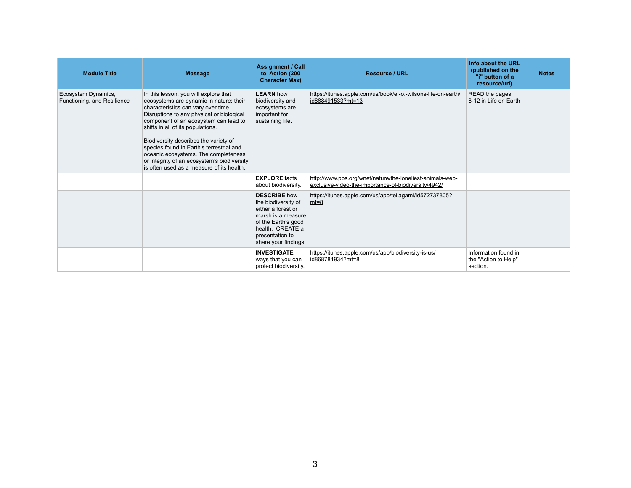| <b>Module Title</b>                                | <b>Message</b>                                                                                                                                                                                                                                                                                                                                                                                                                                                              | <b>Assignment / Call</b><br>to Action (200<br><b>Character Max)</b>                                                                                                          | <b>Resource / URL</b>                                                                                             | Info about the URL<br>(published on the<br>"i" button of a<br>resource/url) | <b>Notes</b> |
|----------------------------------------------------|-----------------------------------------------------------------------------------------------------------------------------------------------------------------------------------------------------------------------------------------------------------------------------------------------------------------------------------------------------------------------------------------------------------------------------------------------------------------------------|------------------------------------------------------------------------------------------------------------------------------------------------------------------------------|-------------------------------------------------------------------------------------------------------------------|-----------------------------------------------------------------------------|--------------|
| Ecosystem Dynamics,<br>Functioning, and Resilience | In this lesson, you will explore that<br>ecosystems are dynamic in nature; their<br>characteristics can vary over time.<br>Disruptions to any physical or biological<br>component of an ecosystem can lead to<br>shifts in all of its populations.<br>Biodiversity describes the variety of<br>species found in Earth's terrestrial and<br>oceanic ecosystems. The completeness<br>or integrity of an ecosystem's biodiversity<br>is often used as a measure of its health. | <b>LEARN</b> how<br>biodiversity and<br>ecosystems are<br>important for<br>sustaining life.                                                                                  | https://itunes.apple.com/us/book/e.-o.-wilsons-life-on-earth/<br>id888491533?mt=13                                | READ the pages<br>8-12 in Life on Earth                                     |              |
|                                                    |                                                                                                                                                                                                                                                                                                                                                                                                                                                                             | <b>EXPLORE</b> facts<br>about biodiversity.                                                                                                                                  | http://www.pbs.org/wnet/nature/the-loneliest-animals-web-<br>exclusive-video-the-importance-of-biodiversity/4942/ |                                                                             |              |
|                                                    |                                                                                                                                                                                                                                                                                                                                                                                                                                                                             | <b>DESCRIBE</b> how<br>the biodiversity of<br>either a forest or<br>marsh is a measure<br>of the Earth's good<br>health. CREATE a<br>presentation to<br>share your findings. | https://itunes.apple.com/us/app/tellagami/id572737805?<br>$mt=8$                                                  |                                                                             |              |
|                                                    |                                                                                                                                                                                                                                                                                                                                                                                                                                                                             | <b>INVESTIGATE</b><br>ways that you can<br>protect biodiversity.                                                                                                             | https://itunes.apple.com/us/app/biodiversity-is-us/<br>id868781934?mt=8                                           | Information found in<br>the "Action to Help"<br>section.                    |              |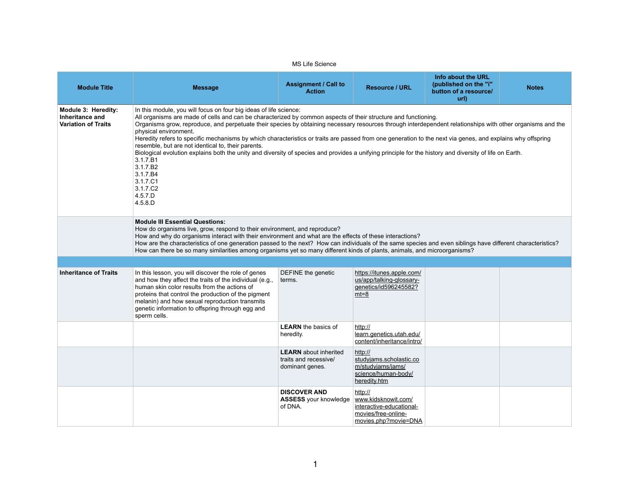|                                                                             |                                                                                                                                                                                                                                                                                                                                                                                                                                                                                                                                                                                                                                                                                                                                                                                                                                             | <b>MS Life Science</b>                                                   |                                                                                                           |                                                                              |              |
|-----------------------------------------------------------------------------|---------------------------------------------------------------------------------------------------------------------------------------------------------------------------------------------------------------------------------------------------------------------------------------------------------------------------------------------------------------------------------------------------------------------------------------------------------------------------------------------------------------------------------------------------------------------------------------------------------------------------------------------------------------------------------------------------------------------------------------------------------------------------------------------------------------------------------------------|--------------------------------------------------------------------------|-----------------------------------------------------------------------------------------------------------|------------------------------------------------------------------------------|--------------|
| <b>Module Title</b>                                                         | <b>Message</b>                                                                                                                                                                                                                                                                                                                                                                                                                                                                                                                                                                                                                                                                                                                                                                                                                              | <b>Assignment / Call to</b><br><b>Action</b>                             | <b>Resource / URL</b>                                                                                     | Info about the URL<br>(published on the "i"<br>button of a resource/<br>url) | <b>Notes</b> |
| <b>Module 3: Heredity:</b><br>Inheritance and<br><b>Variation of Traits</b> | In this module, you will focus on four big ideas of life science:<br>All organisms are made of cells and can be characterized by common aspects of their structure and functioning.<br>Organisms grow, reproduce, and perpetuate their species by obtaining necessary resources through interdependent relationships with other organisms and the<br>physical environment.<br>Heredity refers to specific mechanisms by which characteristics or traits are passed from one generation to the next via genes, and explains why offspring<br>resemble, but are not identical to, their parents.<br>Biological evolution explains both the unity and diversity of species and provides a unifying principle for the history and diversity of life on Earth.<br>3.1.7.B1<br>3.1.7.B2<br>3.1.7.B4<br>3.1.7.C1<br>3.1.7.C2<br>4.5.7.D<br>4.5.8.D |                                                                          |                                                                                                           |                                                                              |              |
|                                                                             | <b>Module III Essential Questions:</b><br>How do organisms live, grow, respond to their environment, and reproduce?<br>How and why do organisms interact with their environment and what are the effects of these interactions?<br>How are the characteristics of one generation passed to the next? How can individuals of the same species and even siblings have different characteristics?<br>How can there be so many similarities among organisms yet so many different kinds of plants, animals, and microorganisms?                                                                                                                                                                                                                                                                                                                 |                                                                          |                                                                                                           |                                                                              |              |
|                                                                             |                                                                                                                                                                                                                                                                                                                                                                                                                                                                                                                                                                                                                                                                                                                                                                                                                                             |                                                                          |                                                                                                           |                                                                              |              |
| <b>Inheritance of Traits</b>                                                | In this lesson, you will discover the role of genes<br>and how they affect the traits of the individual (e.g.,<br>human skin color results from the actions of<br>proteins that control the production of the pigment<br>melanin) and how sexual reproduction transmits<br>genetic information to offspring through egg and<br>sperm cells.                                                                                                                                                                                                                                                                                                                                                                                                                                                                                                 | DEFINE the genetic<br>terms.                                             | https://itunes.apple.com/<br>us/app/talking-glossary-<br>genetics/id596245582?<br>$mt=8$                  |                                                                              |              |
|                                                                             |                                                                                                                                                                                                                                                                                                                                                                                                                                                                                                                                                                                                                                                                                                                                                                                                                                             | <b>LEARN</b> the basics of<br>heredity.                                  | http://<br>learn.genetics.utah.edu/<br>content/inheritance/intro/                                         |                                                                              |              |
|                                                                             |                                                                                                                                                                                                                                                                                                                                                                                                                                                                                                                                                                                                                                                                                                                                                                                                                                             | <b>LEARN</b> about inherited<br>traits and recessive/<br>dominant genes. | http://<br>studviams.scholastic.co<br>m/studyjams/jams/<br>science/human-body/<br>heredity.htm            |                                                                              |              |
|                                                                             |                                                                                                                                                                                                                                                                                                                                                                                                                                                                                                                                                                                                                                                                                                                                                                                                                                             | <b>DISCOVER AND</b><br><b>ASSESS</b> your knowledge<br>of DNA.           | http://<br>www.kidsknowit.com/<br>interactive-educational-<br>movies/free-online-<br>movies.php?movie=DNA |                                                                              |              |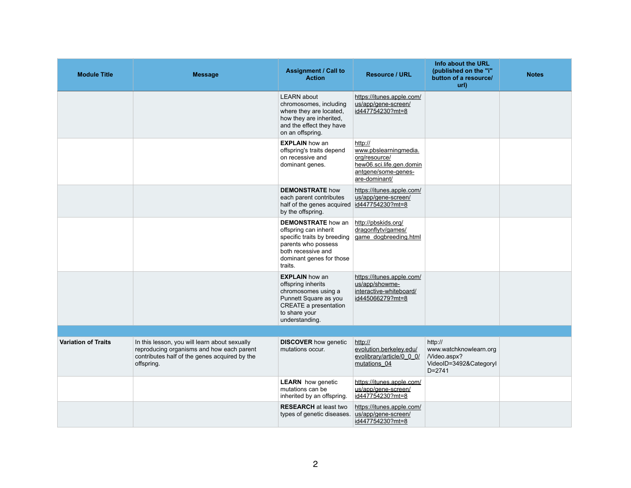| <b>Module Title</b>        | <b>Message</b>                                                                                                                                            | <b>Assignment / Call to</b><br><b>Action</b>                                                                                                                          | <b>Resource / URL</b>                                                                                                 | Info about the URL<br>(published on the "i"<br>button of a resource/<br>url)              | <b>Notes</b> |
|----------------------------|-----------------------------------------------------------------------------------------------------------------------------------------------------------|-----------------------------------------------------------------------------------------------------------------------------------------------------------------------|-----------------------------------------------------------------------------------------------------------------------|-------------------------------------------------------------------------------------------|--------------|
|                            |                                                                                                                                                           | <b>LEARN</b> about<br>chromosomes, including<br>where they are located,<br>how they are inherited,<br>and the effect they have<br>on an offspring.                    | https://itunes.apple.com/<br>us/app/gene-screen/<br>id447754230?mt=8                                                  |                                                                                           |              |
|                            |                                                                                                                                                           | <b>EXPLAIN</b> how an<br>offspring's traits depend<br>on recessive and<br>dominant genes.                                                                             | http://<br>www.pbslearningmedia.<br>org/resource/<br>hew06.sci.life.gen.domin<br>antgene/some-genes-<br>are-dominant/ |                                                                                           |              |
|                            |                                                                                                                                                           | <b>DEMONSTRATE how</b><br>each parent contributes<br>half of the genes acquired<br>by the offspring.                                                                  | https://itunes.apple.com/<br>us/app/gene-screen/<br>id447754230?mt=8                                                  |                                                                                           |              |
|                            |                                                                                                                                                           | <b>DEMONSTRATE</b> how an<br>offspring can inherit<br>specific traits by breeding<br>parents who possess<br>both recessive and<br>dominant genes for those<br>traits. | http://pbskids.org/<br>dragonflytv/games/<br>game dogbreeding.html                                                    |                                                                                           |              |
|                            |                                                                                                                                                           | <b>EXPLAIN</b> how an<br>offspring inherits<br>chromosomes using a<br>Punnett Square as you<br><b>CREATE a presentation</b><br>to share your<br>understanding.        | https://itunes.apple.com/<br>us/app/showme-<br>interactive-whiteboard/<br>id445066279?mt=8                            |                                                                                           |              |
|                            |                                                                                                                                                           |                                                                                                                                                                       |                                                                                                                       |                                                                                           |              |
| <b>Variation of Traits</b> | In this lesson, you will learn about sexually<br>reproducing organisms and how each parent<br>contributes half of the genes acquired by the<br>offspring. | <b>DISCOVER</b> how genetic<br>mutations occur.                                                                                                                       | http://<br>evolution.berkeley.edu/<br>evolibrary/article/0 0 0/<br>mutations 04                                       | http://<br>www.watchknowlearn.org<br>/Video.aspx?<br>VideoID=3492&CategoryI<br>$D = 2741$ |              |
|                            |                                                                                                                                                           | <b>LEARN</b> how genetic<br>mutations can be<br>inherited by an offspring.                                                                                            | https://itunes.apple.com/<br>us/app/gene-screen/<br>id447754230?mt=8                                                  |                                                                                           |              |
|                            |                                                                                                                                                           | <b>RESEARCH</b> at least two<br>types of genetic diseases.                                                                                                            | https://itunes.apple.com/<br>us/app/gene-screen/<br>id447754230?mt=8                                                  |                                                                                           |              |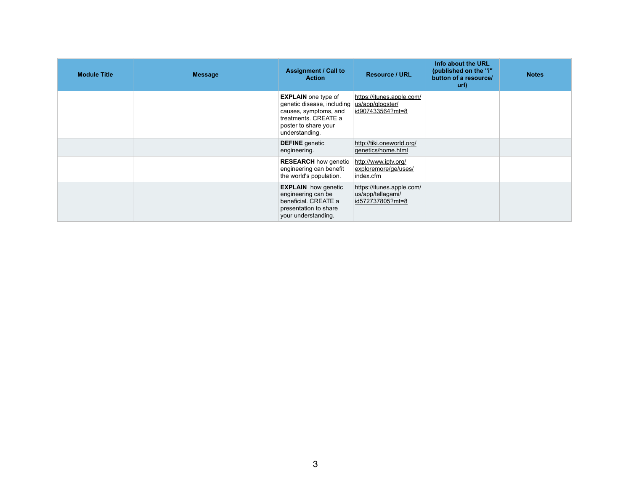| <b>Module Title</b> | <b>Message</b> | <b>Assignment / Call to</b><br><b>Action</b>                                                                                                                           | <b>Resource / URL</b>                                              | Info about the URL<br>(published on the "i"<br>button of a resource/<br>url) | <b>Notes</b> |
|---------------------|----------------|------------------------------------------------------------------------------------------------------------------------------------------------------------------------|--------------------------------------------------------------------|------------------------------------------------------------------------------|--------------|
|                     |                | <b>EXPLAIN</b> one type of<br>genetic disease, including   us/app/glogster/<br>causes, symptoms, and<br>treatments. CREATE a<br>poster to share your<br>understanding. | https://itunes.apple.com/<br>id907433564?mt=8                      |                                                                              |              |
|                     |                | <b>DEFINE</b> genetic<br>engineering.                                                                                                                                  | http://tiki.oneworld.org/<br>genetics/home.html                    |                                                                              |              |
|                     |                | <b>RESEARCH</b> how genetic<br>engineering can benefit<br>the world's population.                                                                                      | http://www.iptv.org/<br>exploremore/ge/uses/<br>index.cfm          |                                                                              |              |
|                     |                | <b>EXPLAIN</b> how genetic<br>engineering can be<br>beneficial. CREATE a<br>presentation to share<br>your understanding.                                               | https://itunes.apple.com/<br>us/app/tellagami/<br>id572737805?mt=8 |                                                                              |              |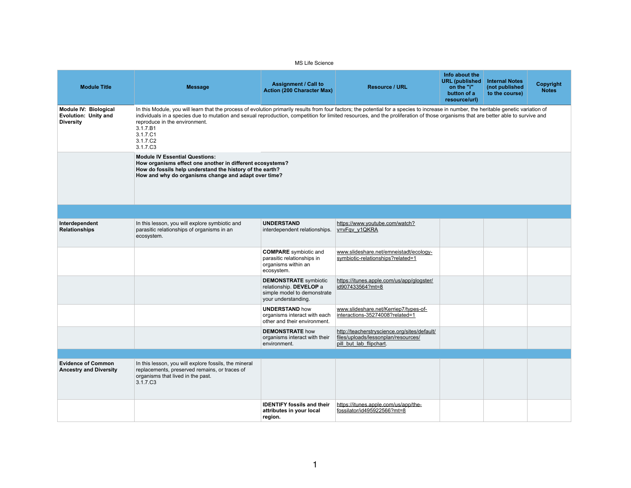| RL                                  | <b>URL</b> (published<br>on the "i"<br>button of a<br>resource/url)                                                                | <b>Internal Notes</b><br>(not published<br>to the course) | <b>Copyright</b><br><b>Notes</b> |
|-------------------------------------|------------------------------------------------------------------------------------------------------------------------------------|-----------------------------------------------------------|----------------------------------|
|                                     | becies to increase in number, the heritable genetic variation of<br>eration of those organisms that are better able to survive and |                                                           |                                  |
|                                     |                                                                                                                                    |                                                           |                                  |
|                                     |                                                                                                                                    |                                                           |                                  |
| atch?                               |                                                                                                                                    |                                                           |                                  |
| tadt/ecology-<br><u>ated=1</u>      |                                                                                                                                    |                                                           |                                  |
| app/glogster/                       |                                                                                                                                    |                                                           |                                  |
| 7/types-of-<br>$ted=1$              |                                                                                                                                    |                                                           |                                  |
| g/sites/default/<br><u>sources/</u> |                                                                                                                                    |                                                           |                                  |
|                                     |                                                                                                                                    |                                                           |                                  |
|                                     |                                                                                                                                    |                                                           |                                  |
| app/the-<br><u>-8</u>               |                                                                                                                                    |                                                           |                                  |

|                                                                                 |                                                                                                                                                                                                                                                                                                                                                                                                                                                               | <b>MS Life Science</b>                                                                                        |                                                                                                                |                                                                                       |                                                           |                  |  |
|---------------------------------------------------------------------------------|---------------------------------------------------------------------------------------------------------------------------------------------------------------------------------------------------------------------------------------------------------------------------------------------------------------------------------------------------------------------------------------------------------------------------------------------------------------|---------------------------------------------------------------------------------------------------------------|----------------------------------------------------------------------------------------------------------------|---------------------------------------------------------------------------------------|-----------------------------------------------------------|------------------|--|
| <b>Module Title</b>                                                             | <b>Message</b>                                                                                                                                                                                                                                                                                                                                                                                                                                                | <b>Assignment / Call to</b><br><b>Action (200 Character Max)</b>                                              | <b>Resource / URL</b>                                                                                          | Info about the<br><b>URL</b> (published<br>on the "i"<br>button of a<br>resource/url) | <b>Internal Notes</b><br>(not published<br>to the course) | Cop<br><b>Nc</b> |  |
| <b>Module IV: Biological</b><br><b>Evolution: Unity and</b><br><b>Diversity</b> | In this Module, you will learn that the process of evolution primarily results from four factors; the potential for a species to increase in number, the heritable genetic variation of<br>individuals in a species due to mutation and sexual reproduction, competition for limited resources, and the proliferation of those organisms that are better able to survive and<br>reproduce in the environment.<br>3.1.7.B1<br>3.1.7.C1<br>3.1.7.C2<br>3.1.7.C3 |                                                                                                               |                                                                                                                |                                                                                       |                                                           |                  |  |
|                                                                                 | <b>Module IV Essential Questions:</b><br>How organisms effect one another in different ecosystems?<br>How do fossils help understand the history of the earth?<br>How and why do organisms change and adapt over time?                                                                                                                                                                                                                                        |                                                                                                               |                                                                                                                |                                                                                       |                                                           |                  |  |
|                                                                                 |                                                                                                                                                                                                                                                                                                                                                                                                                                                               |                                                                                                               |                                                                                                                |                                                                                       |                                                           |                  |  |
| Interdependent<br><b>Relationships</b>                                          | In this lesson, you will explore symbiotic and<br>parasitic relationships of organisms in an<br>ecosystem.                                                                                                                                                                                                                                                                                                                                                    | <b>UNDERSTAND</b><br>interdependent relationships.                                                            | https://www.youtube.com/watch?<br>v=vFqv y1QKRA                                                                |                                                                                       |                                                           |                  |  |
|                                                                                 |                                                                                                                                                                                                                                                                                                                                                                                                                                                               | <b>COMPARE</b> symbiotic and<br>parasitic relationships in<br>organisms within an<br>ecosystem.               | www.slideshare.net/emneistadt/ecology-<br>symbiotic-relationships?related=1                                    |                                                                                       |                                                           |                  |  |
|                                                                                 |                                                                                                                                                                                                                                                                                                                                                                                                                                                               | <b>DEMONSTRATE</b> symbiotic<br>relationship. DEVELOP a<br>simple model to demonstrate<br>your understanding. | https://itunes.apple.com/us/app/glogster/<br>id907433564?mt=8                                                  |                                                                                       |                                                           |                  |  |
|                                                                                 |                                                                                                                                                                                                                                                                                                                                                                                                                                                               | <b>UNDERSTAND how</b><br>organisms interact with each<br>other and their environment.                         | www.slideshare.net/Kerriep7/types-of-<br>interactions-35274008?related=1                                       |                                                                                       |                                                           |                  |  |
|                                                                                 |                                                                                                                                                                                                                                                                                                                                                                                                                                                               | <b>DEMONSTRATE how</b><br>organisms interact with their<br>environment.                                       | http://teacherstryscience.org/sites/default/<br>files/uploads/lessonplan/resources/<br>pill but lab flipchart. |                                                                                       |                                                           |                  |  |
|                                                                                 |                                                                                                                                                                                                                                                                                                                                                                                                                                                               |                                                                                                               |                                                                                                                |                                                                                       |                                                           |                  |  |
| <b>Evidence of Common</b><br><b>Ancestry and Diversity</b>                      | In this lesson, you will explore fossils, the mineral<br>replacements, preserved remains, or traces of<br>organisms that lived in the past.<br>3.1.7.C <sub>3</sub>                                                                                                                                                                                                                                                                                           |                                                                                                               |                                                                                                                |                                                                                       |                                                           |                  |  |
|                                                                                 |                                                                                                                                                                                                                                                                                                                                                                                                                                                               | <b>IDENTIFY fossils and their</b><br>attributes in your local<br>region.                                      | https://itunes.apple.com/us/app/the-<br>fossilator/id495922566?mt=8                                            |                                                                                       |                                                           |                  |  |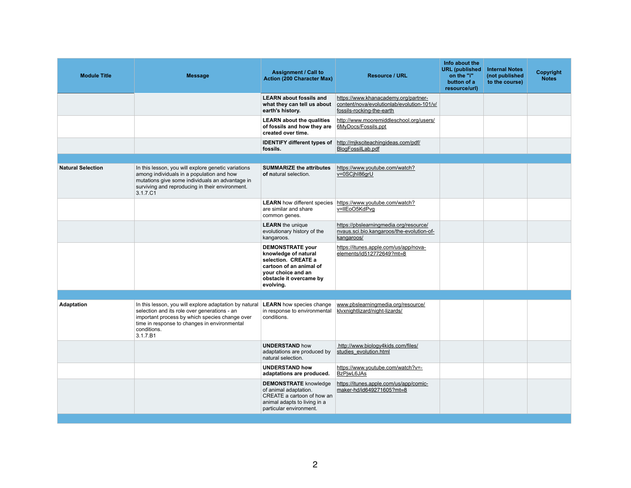| <b>Module Title</b>      | <b>Message</b>                                                                                                                                                                                                                      | <b>Assignment / Call to</b><br><b>Action (200 Character Max)</b>                                                                                                | <b>Resource / URL</b>                                                                                           |  |
|--------------------------|-------------------------------------------------------------------------------------------------------------------------------------------------------------------------------------------------------------------------------------|-----------------------------------------------------------------------------------------------------------------------------------------------------------------|-----------------------------------------------------------------------------------------------------------------|--|
|                          |                                                                                                                                                                                                                                     | <b>LEARN about fossils and</b><br>what they can tell us about<br>earth's history.                                                                               | https://www.khanacademy.org/partner-<br>content/nova/evolutionlab/evolution-101/v/<br>fossils-rocking-the-earth |  |
|                          |                                                                                                                                                                                                                                     | <b>LEARN</b> about the qualities<br>of fossils and how they are<br>created over time.                                                                           | http://www.mooremiddleschool.org/users/<br>6MyDocs/Fossils.ppt                                                  |  |
|                          |                                                                                                                                                                                                                                     | <b>IDENTIFY different types of</b><br>fossils.                                                                                                                  | http://mjksciteachingideas.com/pdf/<br>BlogFossilLab.pdf                                                        |  |
|                          |                                                                                                                                                                                                                                     |                                                                                                                                                                 |                                                                                                                 |  |
| <b>Natural Selection</b> | In this lesson, you will explore genetic variations<br>among individuals in a population and how<br>mutations give some individuals an advantage in<br>surviving and reproducing in their environment.<br>3.1.7.C1                  | <b>SUMMARIZE the attributes</b><br>of natural selection.                                                                                                        | https://www.youtube.com/watch?<br>v=0SCjhl86grU                                                                 |  |
|                          |                                                                                                                                                                                                                                     | <b>LEARN</b> how different species<br>are similar and share<br>common genes.                                                                                    | https://www.youtube.com/watch?<br>v=IIEoO5KdPvg                                                                 |  |
|                          |                                                                                                                                                                                                                                     | <b>LEARN</b> the unique<br>evolutionary history of the<br>kangaroos.                                                                                            | https://pbslearningmedia.org/resource/<br>nvaus.sci.bio.kangaroos/the-evolution-of-<br>kangaroos/               |  |
|                          |                                                                                                                                                                                                                                     | <b>DEMONSTRATE your</b><br>knowledge of natural<br>selection. CREATE a<br>cartoon of an animal of<br>your choice and an<br>obstacle it overcame by<br>evolving. | https://itunes.apple.com/us/app/nova-<br>elements/id512772649?mt=8                                              |  |
|                          |                                                                                                                                                                                                                                     |                                                                                                                                                                 |                                                                                                                 |  |
| <b>Adaptation</b>        | In this lesson, you will explore adaptation by natural<br>selection and its role over generations - an<br>important process by which species change over<br>time in response to changes in environmental<br>conditions.<br>3.1.7.B1 | <b>LEARN</b> how species change<br>in response to environmental<br>conditions.                                                                                  | www.pbslearningmedia.org/resource/<br>klyxnightlizard/night-lizards/                                            |  |
|                          |                                                                                                                                                                                                                                     | <b>UNDERSTAND how</b><br>adaptations are produced by<br>natural selection.                                                                                      | http://www.biology4kids.com/files/<br>studies evolution.html                                                    |  |
|                          |                                                                                                                                                                                                                                     | <b>UNDERSTAND how</b><br>adaptations are produced.                                                                                                              | https://www.youtube.com/watch?v=-<br>BzPjwL6JAs                                                                 |  |
|                          |                                                                                                                                                                                                                                     | <b>DEMONSTRATE</b> knowledge<br>of animal adaptation.<br>CREATE a cartoon of how an<br>animal adapts to living in a<br>particular environment.                  | https://itunes.apple.com/us/app/comic-<br>maker-hd/id649271605?mt=8                                             |  |
|                          |                                                                                                                                                                                                                                     |                                                                                                                                                                 |                                                                                                                 |  |

| <u>रा</u>                           | Info about the<br><b>URL</b> (published<br>on the "i"<br>button of a<br>resource/url) | <b>Internal Notes</b><br>(not published<br>to the course) | <b>Copyright</b><br><b>Notes</b> |
|-------------------------------------|---------------------------------------------------------------------------------------|-----------------------------------------------------------|----------------------------------|
| org/partner-<br>volution-101/v/     |                                                                                       |                                                           |                                  |
| ool.org/users/                      |                                                                                       |                                                           |                                  |
| om/pdf/                             |                                                                                       |                                                           |                                  |
| <u>atch?</u>                        |                                                                                       |                                                           |                                  |
| <u>atch?</u>                        |                                                                                       |                                                           |                                  |
| g/resource/<br>e-evolution-of-      |                                                                                       |                                                           |                                  |
| <u>app/nova-</u><br>$\underline{8}$ |                                                                                       |                                                           |                                  |
|                                     |                                                                                       |                                                           |                                  |
| resource/                           |                                                                                       |                                                           |                                  |
| n/files/                            |                                                                                       |                                                           |                                  |
| atch?v=-                            |                                                                                       |                                                           |                                  |
| app/comic-<br>$rac{8}{2}$           |                                                                                       |                                                           |                                  |
|                                     |                                                                                       |                                                           |                                  |